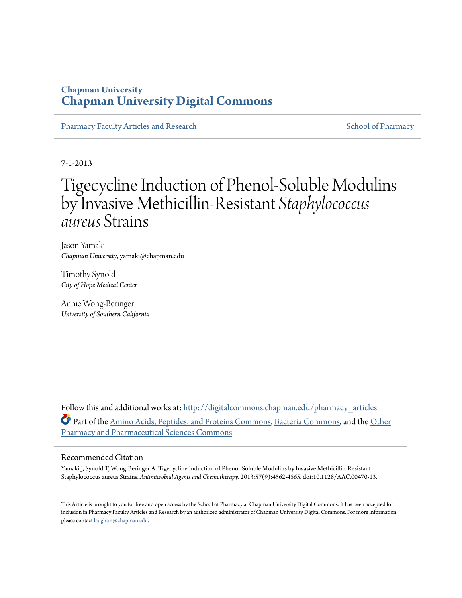### **Chapman University [Chapman University Digital Commons](http://digitalcommons.chapman.edu?utm_source=digitalcommons.chapman.edu%2Fpharmacy_articles%2F504&utm_medium=PDF&utm_campaign=PDFCoverPages)**

[Pharmacy Faculty Articles and Research](http://digitalcommons.chapman.edu/pharmacy_articles?utm_source=digitalcommons.chapman.edu%2Fpharmacy_articles%2F504&utm_medium=PDF&utm_campaign=PDFCoverPages) [School of Pharmacy](http://digitalcommons.chapman.edu/cusp?utm_source=digitalcommons.chapman.edu%2Fpharmacy_articles%2F504&utm_medium=PDF&utm_campaign=PDFCoverPages) School of Pharmacy

7-1-2013

# Tigecycline Induction of Phenol-Soluble Modulins by Invasive Methicillin-Resistant *Staphylococcus aureus* Strains

Jason Yamaki *Chapman University*, yamaki@chapman.edu

Timothy Synold *City of Hope Medical Center*

Annie Wong-Beringer *University of Southern California*

Follow this and additional works at: [http://digitalcommons.chapman.edu/pharmacy\\_articles](http://digitalcommons.chapman.edu/pharmacy_articles?utm_source=digitalcommons.chapman.edu%2Fpharmacy_articles%2F504&utm_medium=PDF&utm_campaign=PDFCoverPages) Part of the [Amino Acids, Peptides, and Proteins Commons](http://network.bepress.com/hgg/discipline/954?utm_source=digitalcommons.chapman.edu%2Fpharmacy_articles%2F504&utm_medium=PDF&utm_campaign=PDFCoverPages), [Bacteria Commons](http://network.bepress.com/hgg/discipline/985?utm_source=digitalcommons.chapman.edu%2Fpharmacy_articles%2F504&utm_medium=PDF&utm_campaign=PDFCoverPages), and the [Other](http://network.bepress.com/hgg/discipline/737?utm_source=digitalcommons.chapman.edu%2Fpharmacy_articles%2F504&utm_medium=PDF&utm_campaign=PDFCoverPages) [Pharmacy and Pharmaceutical Sciences Commons](http://network.bepress.com/hgg/discipline/737?utm_source=digitalcommons.chapman.edu%2Fpharmacy_articles%2F504&utm_medium=PDF&utm_campaign=PDFCoverPages)

#### Recommended Citation

Yamaki J, Synold T, Wong-Beringer A. Tigecycline Induction of Phenol-Soluble Modulins by Invasive Methicillin-Resistant Staphylococcus aureus Strains. *Antimicrobial Agents and Chemotherapy*. 2013;57(9):4562-4565. doi:10.1128/AAC.00470-13.

This Article is brought to you for free and open access by the School of Pharmacy at Chapman University Digital Commons. It has been accepted for inclusion in Pharmacy Faculty Articles and Research by an authorized administrator of Chapman University Digital Commons. For more information, please contact [laughtin@chapman.edu.](mailto:laughtin@chapman.edu)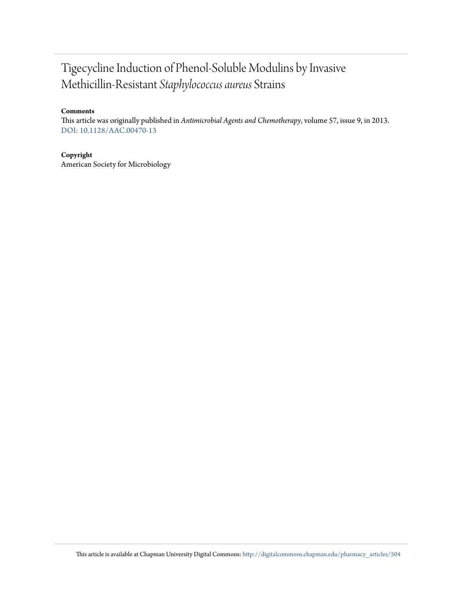## Tigecycline Induction of Phenol-Soluble Modulins by Invasive Methicillin-Resistant *Staphylococcus aureus* Strains

#### **Comments**

This article was originally published in *Antimicrobial Agents and Chemotherapy*, volume 57, issue 9, in 2013. [DOI: 10.1128/AAC.00470-13](http://dx.doi.org/10.1128/AAC.00470-13)

#### **Copyright**

American Society for Microbiology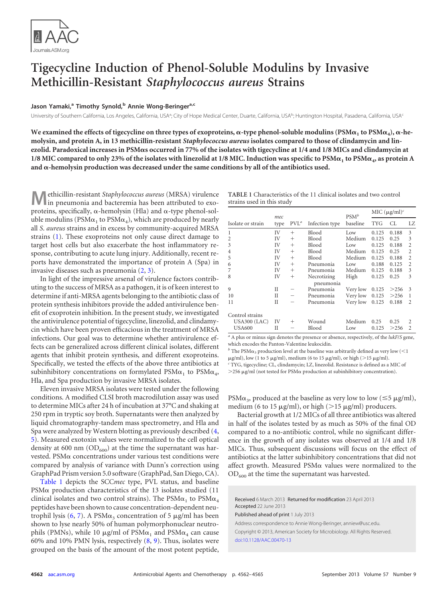

### **Tigecycline Induction of Phenol-Soluble Modulins by Invasive Methicillin-Resistant** *Staphylococcus aureus* **Strains**

#### **Jason Yamaki, <sup>a</sup> Timothy Synold, <sup>b</sup> Annie Wong-Beringera,c**

University of Southern California, Los Angeles, California, USA<sup>a</sup>; City of Hope Medical Center, Duarte, California, USA<sup>b</sup>; Huntington Hospital, Pasadena, California, USA<sup>c</sup>

We examined the effects of tigecycline on three types of exoproteins,  $\alpha$ -type phenol-soluble modulins ( $PSM\alpha_1$  to  $PSM\alpha_4$ ),  $\alpha$ -he**molysin, and protein A, in 13 methicillin-resistant** *Staphylococcus aureus* **isolates compared to those of clindamycin and linezolid. Paradoxical increases in PSMs occurred in 77% of the isolates with tigecycline at 1/4 and 1/8 MICs and clindamycin at** 1/8 MIC compared to only 23% of the isolates with linezolid at 1/8 MIC. Induction was specific to  $PSM\alpha_1$  to  $PSM\alpha_4$ , as protein A and  $\alpha$ -hemolysin production was decreased under the same conditions by all of the antibiotics used.

**M**ethicillin-resistant *Staphylococcus aureus* (MRSA) virulence in pneumonia and bacteremia has been attributed to exoproteins, specifically,  $\alpha$ -hemolysin (Hla) and  $\alpha$ -type phenol-soluble modulins (PSM $\alpha_1$  to PSM $\alpha_4$ ), which are produced by nearly all *S*. *aureus* strains and in excess by community-acquired MRSA strains [\(1\)](#page-4-0). These exoproteins not only cause direct damage to target host cells but also exacerbate the host inflammatory response, contributing to acute lung injury. Additionally, recent reports have demonstrated the importance of protein A (Spa) in invasive diseases such as pneumonia [\(2,](#page-4-1) [3\)](#page-4-2).

In light of the impressive arsenal of virulence factors contributing to the success of MRSA as a pathogen, it is of keen interest to determine if anti-MRSA agents belonging to the antibiotic class of protein synthesis inhibitors provide the added antivirulence benefit of exoprotein inhibition. In the present study, we investigated the antivirulence potential of tigecycline, linezolid, and clindamycin which have been proven efficacious in the treatment of MRSA infections. Our goal was to determine whether antivirulence effects can be generalized across different clinical isolates, different agents that inhibit protein synthesis, and different exoproteins. Specifically, we tested the effects of the above three antibiotics at subinhibitory concentrations on formylated  $PSM\alpha_1$  to  $PSM\alpha_4$ , Hla, and Spa production by invasive MRSA isolates.

Eleven invasive MRSA isolates were tested under the following conditions. A modified CLSI broth macrodilution assay was used to determine MICs after 24 h of incubation at 37°C and shaking at 250 rpm in tryptic soy broth. Supernatants were then analyzed by liquid chromatography-tandem mass spectrometry, and Hla and Spa were analyzed by Western blotting as previously described [\(4,](#page-4-3) [5\)](#page-4-4). Measured exotoxin values were normalized to the cell optical density at 600 nm  $(OD<sub>600</sub>)$  at the time the supernatant was harvested. PSM $\alpha$  concentrations under various test conditions were compared by analysis of variance with Dunn's correction using GraphPad Prism version 5.0 software (GraphPad, San Diego, CA).

[Table 1](#page-2-0) depicts the SCC*mec* type, PVL status, and baseline  $PSM\alpha$  production characteristics of the 13 isolates studied (11 clinical isolates and two control strains). The  $PSM\alpha_1$  to  $PSM\alpha_4$ peptides have been shown to cause concentration-dependent neutrophil lysis  $(6, 7)$  $(6, 7)$  $(6, 7)$ . A PSM $\alpha_3$  concentration of 5  $\mu$ g/ml has been shown to lyse nearly 50% of human polymorphonuclear neutrophils (PMNs), while 10  $\mu$ g/ml of PSM $\alpha_1$  and PSM $\alpha_4$  can cause 60% and 10% PMN lysis, respectively [\(8,](#page-4-7) [9\)](#page-4-8). Thus, isolates were grouped on the basis of the amount of the most potent peptide,

<span id="page-2-0"></span>

| <b>TABLE 1</b> Characteristics of the 11 clinical isolates and two control |  |
|----------------------------------------------------------------------------|--|
| strains used in this study                                                 |  |

|                   | mec  |         |                          | $PSM^b$  | MIC $(\mu g/ml)^c$ |       |                |
|-------------------|------|---------|--------------------------|----------|--------------------|-------|----------------|
| Isolate or strain | type | $PVL^a$ | Infection type           | baseline | <b>TYG</b>         | СL    | LZ             |
| 1                 | IV   | $^{+}$  | <b>Blood</b>             | Low      | 0.125              | 0.188 | 3              |
| $\overline{2}$    | IV   | $^{+}$  | Blood                    | Medium   | 0.125              | 0.25  | 3              |
| 3                 | IV   | $^{+}$  | <b>Blood</b>             | Low      | 0.125              | 0.188 | $\overline{2}$ |
| 4                 | IV   | $^{+}$  | <b>Blood</b>             | Medium   | 0.125              | 0.25  | $\overline{c}$ |
| 5                 | IV   | $^{+}$  | <b>Blood</b>             | Medium   | 0.125              | 0.188 | $\overline{2}$ |
| 6                 | IV   | $^{+}$  | Pneumonia                | Low      | 0.188              | 0.125 | $\overline{c}$ |
| 7                 | IV   | $^{+}$  | Pneumonia                | Medium   | 0.125              | 0.188 | 3              |
| 8                 | IV   | $^{+}$  | Necrotizing<br>pneumonia | High     | 0.125              | 0.25  | 3              |
| 9                 | П    |         | Pneumonia                | Very low | 0.125              | >256  | 3              |
| 10                | П    |         | Pneumonia                | Very low | 0.125              | >256  | 1              |
| 11                | П    |         | Pneumonia                | Very low | 0.125              | 0.188 | 2              |
| Control strains   |      |         |                          |          |                    |       |                |
| $USA300$ (LAC)    | IV   | $^{+}$  | Wound                    | Medium   | 0.25               | 0.25  | $\overline{c}$ |
| <b>USA600</b>     | Н    |         | Blood                    | Low      | 0.125              | >256  | $\overline{c}$ |

*<sup>a</sup>* A plus or minus sign denotes the presence or absence, respectively, of the *lukF*/*S* gene, which encodes the Panton-Valentine leukocidin.

<sup>*b*</sup> The PSM $\alpha_3$  production level at the baseline was arbitrarily defined as very low (<1  $\mu$ g/ml), low (1 to 5  $\mu$ g/ml), medium (6 to 15  $\mu$ g/ml), or high (>15  $\mu$ g/ml).

*<sup>c</sup>* TYG, tigecycline; CL, clindamycin; LZ, linezolid. Resistance is defined as a MIC of

 $>$  256  $\mu$ g/ml (not tested for PSM $\alpha$  production at subinhibitory concentration).

PSM $\alpha_3$ , produced at the baseline as very low to low ( $\leq$ 5  $\mu$ g/ml), medium (6 to 15  $\mu$ g/ml), or high (>15  $\mu$ g/ml) producers.

Bacterial growth at 1/2 MICs of all three antibiotics was altered in half of the isolates tested by as much as 50% of the final OD compared to a no-antibiotic control, while no significant difference in the growth of any isolates was observed at 1/4 and 1/8 MICs. Thus, subsequent discussions will focus on the effect of antibiotics at the latter subinhibitory concentrations that did not affect growth. Measured  $PSM\alpha$  values were normalized to the  $OD<sub>600</sub>$  at the time the supernatant was harvested.

Received 6 March 2013 Returned for modification 23 April 2013 Accepted 22 June 2013

Published ahead of print 1 July 2013

Address correspondence to Annie Wong-Beringer, anniew@usc.edu. Copyright © 2013, American Society for Microbiology. All Rights Reserved. [doi:10.1128/AAC.00470-13](http://dx.doi.org/10.1128/AAC.00470-13)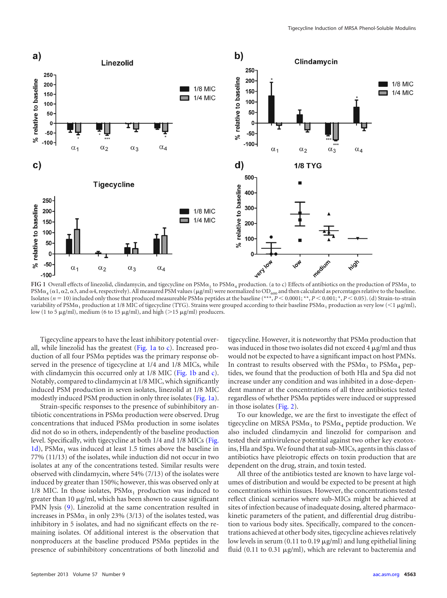

<span id="page-3-0"></span>**FIG** 1 Overall effects of linezolid, clindamycin, and tigecycline on  $PSM\alpha_1$  to  $PSM\alpha_2$  production. (a to c) Effects of antibiotics on the production of  $PSM\alpha_1$  to PSM $\alpha_4$  ( $\alpha$ 1,  $\alpha$ 2,  $\alpha$ 3, and  $\alpha$ 4, respectively). All measured PSM values (µg/ml) were normalized to OD<sub>600</sub> and then calculated as percentages relative to the baseline.<br>Isolates (*n* = 10) included only those tha variability of PSM $\alpha_1$  production at 1/8 MIC of tigecycline (TYG). Strains were grouped according to their baseline  $\mathsf{PSM}\alpha_1$  production as very low ( $<$  1  $\mu$ g/ml), low (1 to 5  $\mu$ g/ml), medium (6 to 15  $\mu$ g/ml), and high (>15  $\mu$ g/ml) producers.

Tigecycline appears to have the least inhibitory potential overall, while linezolid has the greatest [\(Fig. 1a](#page-3-0) to [c\)](#page-3-0). Increased production of all four  $PSM\alpha$  peptides was the primary response observed in the presence of tigecycline at 1/4 and 1/8 MICs, while with clindamycin this occurred only at 1/8 MIC [\(Fig. 1b](#page-3-0) and [c\)](#page-3-0). Notably, compared to clindamycin at 1/8 MIC, which significantly induced PSM production in seven isolates, linezolid at 1/8 MIC modestly induced PSM production in only three isolates [\(Fig. 1a\)](#page-3-0).

Strain-specific responses to the presence of subinhibitory antibiotic concentrations in  $PSM\alpha$  production were observed. Drug concentrations that induced  $PSM\alpha$  production in some isolates did not do so in others, independently of the baseline production level. Specifically, with tigecycline at both 1/4 and 1/8 MICs [\(Fig.](#page-3-0) [1d\)](#page-3-0), PSM $\alpha_1$  was induced at least 1.5 times above the baseline in 77% (11/13) of the isolates, while induction did not occur in two isolates at any of the concentrations tested. Similar results were observed with clindamycin, where 54% (7/13) of the isolates were induced by greater than 150%; however, this was observed only at 1/8 MIC. In those isolates,  $PSM\alpha_1$  production was induced to greater than 10 µg/ml, which has been shown to cause significant PMN lysis [\(9\)](#page-4-8). Linezolid at the same concentration resulted in increases in  $PSM\alpha_1$  in only 23% (3/13) of the isolates tested, was inhibitory in 5 isolates, and had no significant effects on the remaining isolates. Of additional interest is the observation that nonproducers at the baseline produced  $PSM\alpha$  peptides in the presence of subinhibitory concentrations of both linezolid and

tigecycline. However, it is noteworthy that  $PSM\alpha$  production that was induced in those two isolates did not exceed  $4 \mu$ g/ml and thus would not be expected to have a significant impact on host PMNs. In contrast to results observed with the  $PSM\alpha_1$  to  $PSM\alpha_4$  peptides, we found that the production of both Hla and Spa did not increase under any condition and was inhibited in a dose-dependent manner at the concentrations of all three antibiotics tested regardless of whether  $PSM\alpha$  peptides were induced or suppressed in those isolates [\(Fig. 2\)](#page-4-9).

To our knowledge, we are the first to investigate the effect of tigecycline on MRSA PSM $\alpha_1$  to PSM $\alpha_4$  peptide production. We also included clindamycin and linezolid for comparison and tested their antivirulence potential against two other key exotoxins, Hla and Spa.We found that at sub-MICs, agents in this class of antibiotics have pleiotropic effects on toxin production that are dependent on the drug, strain, and toxin tested.

All three of the antibiotics tested are known to have large volumes of distribution and would be expected to be present at high concentrations within tissues. However, the concentrations tested reflect clinical scenarios where sub-MICs might be achieved at sites of infection because of inadequate dosing, altered pharmacokinetic parameters of the patient, and differential drug distribution to various body sites. Specifically, compared to the concentrations achieved at other body sites, tigecycline achieves relatively low levels in serum (0.11 to 0.19  $\mu$ g/ml) and lung epithelial lining fluid (0.11 to 0.31 µg/ml), which are relevant to bacteremia and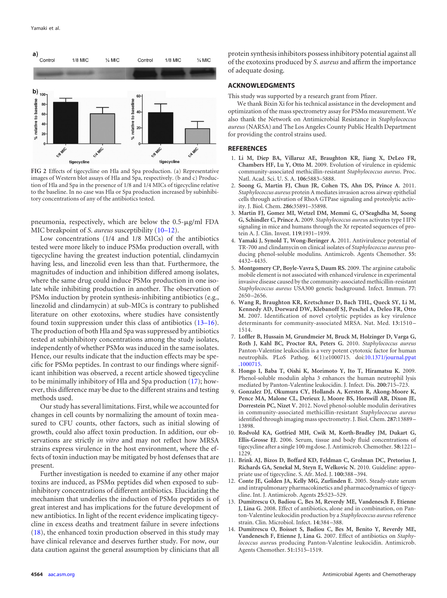

<span id="page-4-9"></span>**FIG 2** Effects of tigecycline on Hla and Spa production. (a) Representative images of Western blot assays of Hla and Spa, respectively. (b and c) Production of Hla and Spa in the presence of 1/8 and 1/4 MICs of tigecycline relative to the baseline. In no case was Hla or Spa production increased by subinhibitory concentrations of any of the antibiotics tested.

pneumonia, respectively, which are below the 0.5-µg/ml FDA MIC breakpoint of *S*. *aureus* susceptibility [\(10](#page-4-10)[–](#page-4-11)[12\)](#page-4-12).

Low concentrations (1/4 and 1/8 MICs) of the antibiotics tested were more likely to induce  $PSM\alpha$  production overall, with tigecycline having the greatest induction potential, clindamycin having less, and linezolid even less than that. Furthermore, the magnitudes of induction and inhibition differed among isolates, where the same drug could induce  $PSM\alpha$  production in one isolate while inhibiting production in another. The observation of  $PSM\alpha$  induction by protein synthesis-inhibiting antibiotics (e.g., linezolid and clindamycin) at sub-MICs is contrary to published literature on other exotoxins, where studies have consistently found toxin suppression under this class of antibiotics [\(13](#page-4-13)[–](#page-5-0)[16\)](#page-5-1). The production of both Hla and Spa was suppressed by antibiotics tested at subinhibitory concentrations among the study isolates, independently of whether  $PSM\alpha$  was induced in the same isolates. Hence, our results indicate that the induction effects may be spe- $\operatorname{cific}$  for PSM $\alpha$  peptides. In contrast to our findings where significant inhibition was observed, a recent article showed tigecycline to be minimally inhibitory of Hla and Spa production [\(17\)](#page-5-2); however, this difference may be due to the different strains and testing methods used.

Our study has several limitations. First, while we accounted for changes in cell counts by normalizing the amount of toxin measured to CFU counts, other factors, such as initial slowing of growth, could also affect toxin production. In addition, our observations are strictly *in vitro* and may not reflect how MRSA strains express virulence in the host environment, where the effects of toxin induction may be mitigated by host defenses that are present.

Further investigation is needed to examine if any other major toxins are induced, as  $PSM\alpha$  peptides did when exposed to subinhibitory concentrations of different antibiotics. Elucidating the mechanism that underlies the induction of  $PSM\alpha$  peptides is of great interest and has implications for the future development of new antibiotics. In light of the recent evidence implicating tigecycline in excess deaths and treatment failure in severe infections [\(18\)](#page-5-3), the enhanced toxin production observed in this study may have clinical relevance and deserves further study. For now, our data caution against the general assumption by clinicians that all

protein synthesis inhibitors possess inhibitory potential against all of the exotoxins produced by *S*. *aureus* and affirm the importance of adequate dosing.

#### **ACKNOWLEDGMENTS**

This study was supported by a research grant from Pfizer.

We thank Bixin Xi for his technical assistance in the development and optimization of the mass spectrometry assay for  $PSM\alpha$  measurement. We also thank the Network on Antimicrobial Resistance in *Staphylococcus aureus* (NARSA) and The Los Angeles County Public Health Department for providing the control strains used.

#### <span id="page-4-0"></span>**REFERENCES**

- 1. **Li M, Diep BA, Villaruz AE, Braughton KR, Jiang X, DeLeo FR, Chambers HF, Lu Y, Otto M.** 2009. Evolution of virulence in epidemic community-associated methicillin-resistant *Staphylococcus aureus*. Proc. Natl. Acad. Sci. U. S. A. **106:**5883–5888.
- <span id="page-4-1"></span>2. **Soong G, Martin FJ, Chun JR, Cohen TS, Ahn DS, Prince A.** 2011. *Staphylococcus aureus* protein A mediates invasion across airway epithelial cells through activation of RhoA GTPase signaling and proteolytic activity. J. Biol. Chem. **286:**35891–35898.
- <span id="page-4-2"></span>3. **Martin FJ, Gomez MI, Wetzel DM, Memmi G, O'Seaghdha M, Soong G, Schindler C, Prince A.** 2009. *Staphylococcus aureu*s activates type I IFN signaling in mice and humans through the Xr repeated sequences of protein A. J. Clin. Invest. **119:**1931–1939.
- <span id="page-4-3"></span>4. **Yamaki J, Synold T, Wong-Beringer A.** 2011. Antivirulence potential of TR-700 and clindamycin on clinical isolates of *Staphylococcus aureus* producing phenol-soluble modulins. Antimicrob. Agents Chemother. **55:** 4432–4435.
- <span id="page-4-4"></span>5. **Montgomery CP, Boyle-Vavra S, Daum RS.** 2009. The arginine catabolic mobile element is not associated with enhanced virulence in experimental invasive disease caused by the community-associated methicillin-resistant *Staphylococcus aureus* USA300 genetic background. Infect. Immun. **77:** 2650 –2656.
- <span id="page-4-5"></span>6. **Wang R, Braughton KR, Kretschmer D, Bach THL, Queck SY, Li M, Kennedy AD, Dorward DW, Klebanoff SJ, Peschel A, Deleo FR, Otto M.** 2007. Identification of novel cytolytic peptides as key virulence determinants for community-associated MRSA. Nat. Med. **13:**1510 – 1514.
- <span id="page-4-6"></span>7. **Loffler B, Hussain M, Grundmeier M, Bruck M, Holzinger D, Varga G, Roth J, Kahl BC, Proctor RA, Peters G.** 2010. *Staphylococcus aureus* Panton-Valentine leukocidin is a very potent cytotoxic factor for human neutrophils. PLoS Pathog. **6**(1):e1000715. doi[:10.1371/journal.ppat](http://dx.doi.org/10.1371/journal.ppat.1000715) [.1000715.](http://dx.doi.org/10.1371/journal.ppat.1000715)
- <span id="page-4-7"></span>8. **Hongo I, Baba T, Oishi K, Morimoto Y, Ito T, Hiramatsu K.** 2009. Phenol-soluble modulin alpha 3 enhances the human neutrophil lysis mediated by Panton-Valentine leukocidin. J. Infect. Dis. **200:**715–723.
- <span id="page-4-8"></span>9. **Gonzalez DJ, Okumura CY, Hollands A, Kersten R, Akong-Moore K, Pence MA, Malone CL, Derieux J, Moore BS, Horswill AR, Dixon JE, Dorrestein PC, Nizet V.** 2012. Novel phenol-soluble modulin derivatives in community-associated methicillin-resistant *Staphylococcus aureus* identified through imaging mass spectrometry. J. Biol. Chem. **287:**13889 – 13898.
- <span id="page-4-10"></span>10. **Rodvold KA, Gotfried MH, Cwik M, Korth-Bradley JM, Dukart G, Ellis-Grosse EJ.** 2006. Serum, tissue and body fluid concentrations of tigecycline after a single 100 mg dose. J. Antimicrob. Chemother. **58:**1221– 1229.
- <span id="page-4-12"></span><span id="page-4-11"></span>11. **Brink AJ, Bizos D, Boffard KD, Feldman C, Grolman DC, Pretorius J, Richards GA, Senekal M, Steyn E, Welkovic N.** 2010. Guideline: appropriate use of tigecycline. S. Afr. Med. J. **100:**388 –394.
- <span id="page-4-13"></span>12. **Conte JE, Golden JA, Kelly MG, Zurlinden E.** 2005. Steady-state serum and intrapulmonary pharmacokinetics and pharmacodynamics of tigecycline. Int. J. Antimicrob. Agents **25:**523–529.
- 13. **Dumitrescu O, Badiou C, Bes M, Reverdy ME, Vandenesch F, Etienne J, Lina G.** 2008. Effect of antibiotics, alone and in combination, on Panton-Valentine leukocidin production by a *Staphylococcus aureus* reference strain. Clin. Microbiol. Infect. **14:**384 –388.
- 14. **Dumitrescu O, Boisset S, Badiou C, Bes M, Benito Y, Reverdy ME, Vandenesch F, Etienne J, Lina G.** 2007. Effect of antibiotics on *Staphylococcus aureu*s producing Panton-Valentine leukocidin. Antimicrob. Agents Chemother. **51:**1515–1519.